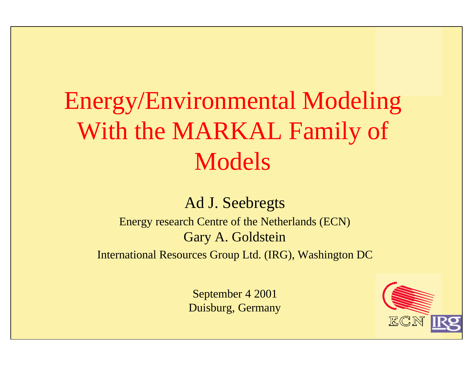# Energy/Environmental Modeling With the MARKAL Family of Models

#### Ad J. Seebregts

Energy research Centre of the Netherlands (ECN) Gary A. Goldstein

International Resources Group Ltd. (IRG), Washington DC

September 4 2001 Duisburg, Germany

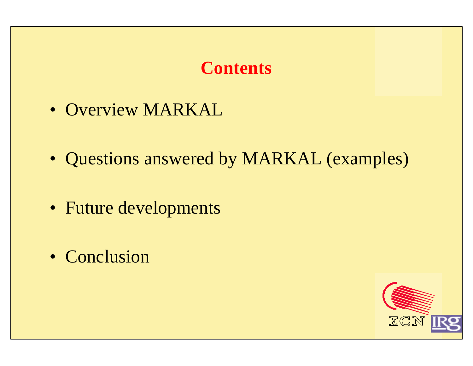#### **Contents**

- Overview MARKAL
- Questions answered by MARKAL (examples)
- Future developments
- Conclusion

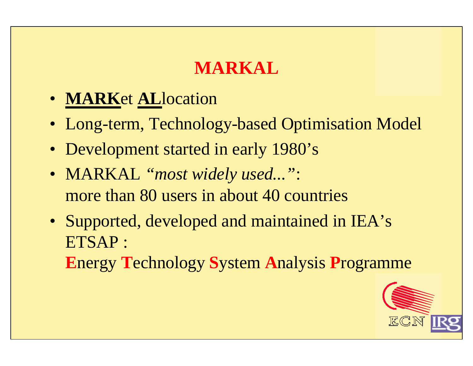## **MARKAL**

- **MARK**et **AL**location
- Long-term, Technology-based Optimisation Model
- Development started in early 1980's
- MARKAL *"most widely used..."*: more than 80 users in about 40 countries
- Supported, developed and maintained in IEA's ETSAP :

**E**nergy **T**echnology **S**ystem **A**nalysis **P**rogramme

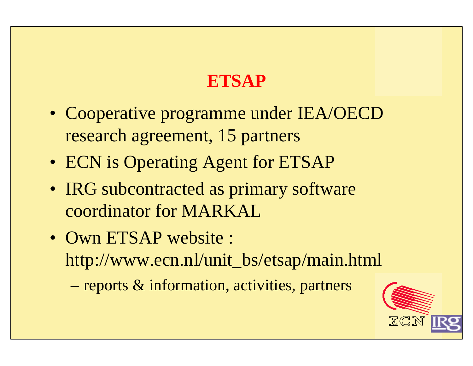## **ETSAP**

- Cooperative programme under IEA/OECD research agreement, 15 partners
- ECN is Operating Agent for ETSAP
- IRG subcontracted as primary software coordinator for MARKAL
- Own ETSAP website : http://www.ecn.nl/unit\_bs/etsap/main.html
	- reports & information, activities, partners

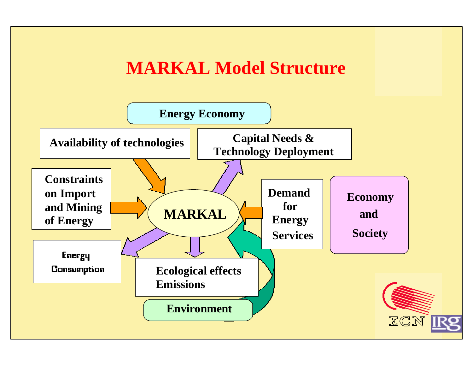#### **MARKAL Model Structure**

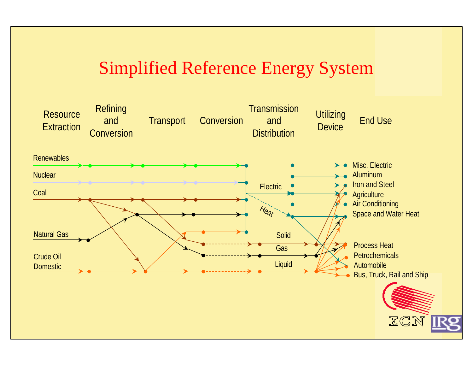#### Simplified Reference Energy System

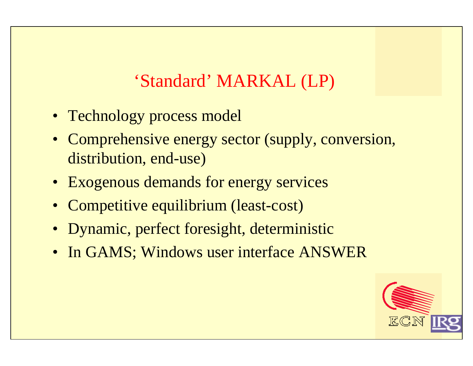#### 'Standard' MARKAL (LP)

- Technology process model
- Comprehensive energy sector (supply, conversion, distribution, end-use)
- Exogenous demands for energy services
- Competitive equilibrium (least-cost)
- Dynamic, perfect foresight, deterministic
- In GAMS; Windows user interface ANSWER

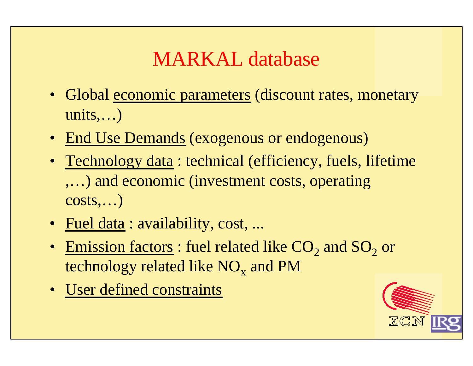# MARKAL database

- Global economic parameters (discount rates, monetary  $units,...)$
- End Use Demands (exogenous or endogenous)
- Technology data : technical (efficiency, fuels, lifetime ,…) and economic (investment costs, operating  $costs,...)$
- Fuel data : availability, cost, ...
- Emission factors : fuel related like  $CO_2$  and  $SO_2$  or technology related like  $\rm{NO_x}$  and  $\rm{PM}$
- User defined constraints

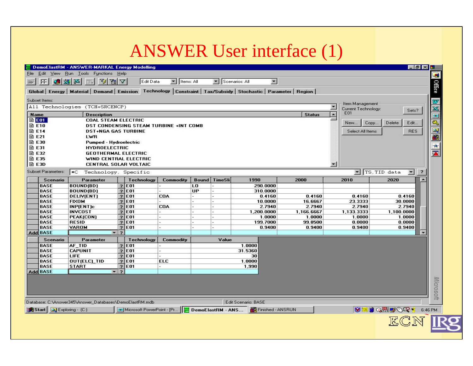#### ANSWER User interface (1)

| <b>File</b><br><b>OXX</b><br>FF.<br>Subset Items:<br>All Technologies (TCH+SRCENCP)<br><b>Name</b><br><b>自E01</b> | Edit View Run Tools Functions Help<br>公园人<br><b>FELL</b><br><b>Description</b> | Edit Data                               | ▼   Items: All |              | Scenarios: All | $\blacksquare$<br>Global Energy   Material   Demand   Emission   Technology   Constraint   Tax/Subsidy   Stochastic   Parameter   Region |                      |                      |                                |                         |
|-------------------------------------------------------------------------------------------------------------------|--------------------------------------------------------------------------------|-----------------------------------------|----------------|--------------|----------------|------------------------------------------------------------------------------------------------------------------------------------------|----------------------|----------------------|--------------------------------|-------------------------|
|                                                                                                                   |                                                                                |                                         |                |              |                |                                                                                                                                          |                      |                      |                                | <b>Office</b>           |
|                                                                                                                   |                                                                                |                                         |                |              |                |                                                                                                                                          |                      |                      |                                |                         |
|                                                                                                                   |                                                                                |                                         |                |              |                |                                                                                                                                          |                      |                      |                                |                         |
|                                                                                                                   |                                                                                |                                         |                |              |                |                                                                                                                                          |                      | Item Management      |                                | w                       |
|                                                                                                                   |                                                                                |                                         |                |              |                |                                                                                                                                          |                      | Current Technology:  | Sets?                          |                         |
|                                                                                                                   |                                                                                |                                         |                |              |                |                                                                                                                                          | <b>Status</b>        | E01                  |                                |                         |
|                                                                                                                   | <b>COAL STEAM ELECTRIC</b>                                                     |                                         |                |              |                |                                                                                                                                          |                      | Copy<br>New          | Delete<br>Edit                 |                         |
| <b>圖 E10</b>                                                                                                      |                                                                                | DST CONDENSING STEAM TURBINE +INT COMB  |                |              |                |                                                                                                                                          |                      |                      |                                |                         |
| <b>■ E14</b>                                                                                                      | <b>DST+NGA GAS TURBINE</b>                                                     |                                         |                |              |                |                                                                                                                                          |                      | Select All Items     | <b>RES</b>                     |                         |
| <b>圖 E21</b>                                                                                                      | LWR.                                                                           |                                         |                |              |                |                                                                                                                                          |                      |                      |                                |                         |
| <b>圖 E30</b>                                                                                                      | <b>Pumped - Hydroelectric</b>                                                  |                                         |                |              |                |                                                                                                                                          |                      |                      |                                |                         |
| <b>■ E31</b><br><b>■ E32</b>                                                                                      | <b>HYDROELECTRIC</b><br><b>GEOTHERMAL ELECTRIC</b>                             |                                         |                |              |                |                                                                                                                                          |                      |                      |                                | $\overline{\mathbf{A}}$ |
| <b>■ E35</b>                                                                                                      | WIND CENTRAL ELECTRIC                                                          |                                         |                |              |                |                                                                                                                                          |                      |                      |                                |                         |
| B E3D                                                                                                             | <b>CENTRAL SOLAR VOLTAIC</b>                                                   |                                         |                |              |                |                                                                                                                                          |                      | $\overline{ }$       |                                |                         |
| <b>Subset Parameters:</b><br>$\ast$ C                                                                             | Technology, Specific                                                           |                                         |                |              |                |                                                                                                                                          |                      |                      | TS, TID data<br>$\blacksquare$ | $\overline{\mathbf{r}}$ |
| <b>Scenario</b>                                                                                                   | Parameter                                                                      | Technology                              | Commodity      | <b>Bound</b> | <b>TimeSli</b> | 1990                                                                                                                                     | 2000                 | 2010                 | 2020                           |                         |
| <b>BASE</b>                                                                                                       | BOUND(BD)                                                                      | $?$ E01                                 |                | LO.          |                | 290.0000                                                                                                                                 |                      |                      |                                |                         |
| <b>BASE</b>                                                                                                       | BOUND(BD)                                                                      | 7 E01                                   |                | UP           |                | 310.0000                                                                                                                                 |                      |                      |                                |                         |
| <b>BASE</b>                                                                                                       | <b>DELIV(ENT)</b>                                                              | $?$ E01                                 | <b>COA</b>     |              |                | 0.4160                                                                                                                                   | 0.4160               | 0.4160               | 0.4160                         |                         |
| <b>BASE</b>                                                                                                       | <b>FIXOM</b>                                                                   | $\overline{2}$<br><b>E01</b>            |                |              |                | 10.0000                                                                                                                                  | 16.6667              | 23.3333              | 30.0000                        |                         |
| <b>BASE</b>                                                                                                       | INP(ENT)c                                                                      | $\overline{2}$<br>E01                   | <b>COA</b>     |              |                | 2.7940                                                                                                                                   | 2.7940               | 2.7940               | 2.7940                         |                         |
| <b>BASE</b><br><b>BASE</b>                                                                                        | <b>INVCOST</b><br><b>PEAK(CON)</b>                                             | $\overline{2}$<br><b>E01</b><br>$2$ E01 |                |              |                | 1,200.0000<br>1.0000                                                                                                                     | 1,166.6667<br>1.0000 | 1,133.3333<br>1.0000 | 1,100.0000<br>1.0000           |                         |
| <b>BASE</b>                                                                                                       | <b>RESID</b>                                                                   | $?$ E01                                 |                |              |                | 199.7000                                                                                                                                 | 99.8500              | 0.0000               | 0.0000                         |                         |
| <b>BASE</b>                                                                                                       | VAROM                                                                          | $?$ E01                                 |                |              |                | 0.9400                                                                                                                                   | 0.9400               | 0.9400               | 0.9400                         |                         |
| Add BASE                                                                                                          | ۰.                                                                             | $\vert$ ?                               |                |              |                |                                                                                                                                          |                      |                      |                                |                         |
| <b>Scenario</b>                                                                                                   | Parameter                                                                      | Technology                              | Commodity      |              | Value          |                                                                                                                                          |                      |                      |                                |                         |
| BASE                                                                                                              | AF TID                                                                         | $?$ E01                                 |                |              |                | 1.0000                                                                                                                                   |                      |                      |                                |                         |
| <b>BASE</b>                                                                                                       | <b>CAPUNIT</b>                                                                 | $?$ E01                                 |                |              |                | 31.5360                                                                                                                                  |                      |                      |                                |                         |
| <b>BASE</b><br><b>LIFE</b>                                                                                        |                                                                                | $\overline{2}$<br>E01                   |                |              |                | 30                                                                                                                                       |                      |                      |                                |                         |
| <b>BASE</b>                                                                                                       | OUT(ELC)_TID                                                                   | 2 E01                                   | <b>ELC</b>     |              |                | 1.0000                                                                                                                                   |                      |                      |                                |                         |
| <b>BASE</b><br>Add BASE                                                                                           | <b>START</b><br>$\mathbf{F}$ ?                                                 | $2$ E01                                 |                |              |                | 1,990                                                                                                                                    |                      |                      |                                |                         |
|                                                                                                                   |                                                                                |                                         |                |              |                |                                                                                                                                          |                      |                      |                                |                         |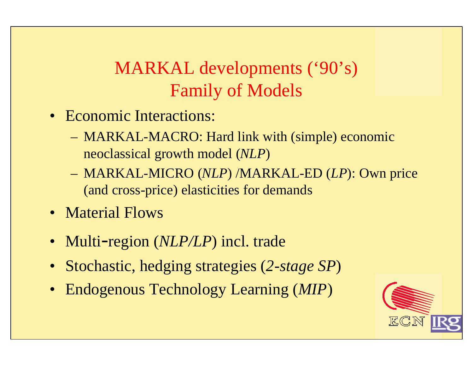## MARKAL developments ('90's) Family of Models

- Economic Interactions:
	- MARKAL-MACRO: Hard link with (simple) economic neoclassical growth model (*NLP*)
	- MARKAL-MICRO (*NLP*) /MARKAL-ED (*LP*): Own price (and cross-price) elasticities for demands
- Material Flows
- Multi-region (*NLP/LP*) incl. trade
- Stochastic, hedging strategies (*2-stage SP*)
- Endogenous Technology Learning (*MIP*)

![](_page_9_Picture_8.jpeg)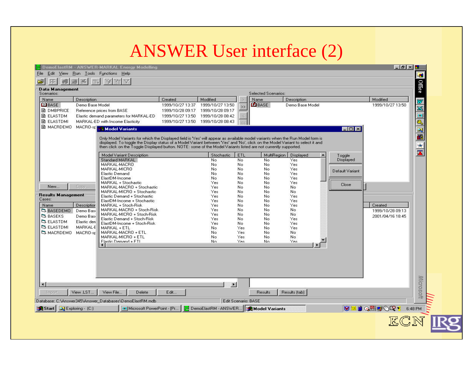#### ANSWER User interface (2)

|                                      | DemoElastRM - ANSWER-MARKAL Energy Modelling                                                                                                                                                                                                      |                                   |                      |                            |                       |                 |                     | $-5 \times 5$    |               |
|--------------------------------------|---------------------------------------------------------------------------------------------------------------------------------------------------------------------------------------------------------------------------------------------------|-----------------------------------|----------------------|----------------------------|-----------------------|-----------------|---------------------|------------------|---------------|
| Edit<br>View<br>:Run                 | Tools Functions<br><b>Help</b>                                                                                                                                                                                                                    |                                   |                      |                            |                       |                 |                     |                  | Ŧ             |
|                                      | 南<br>v                                                                                                                                                                                                                                            |                                   |                      |                            |                       |                 |                     |                  |               |
| <b>Data Management</b><br>Scenarios: |                                                                                                                                                                                                                                                   |                                   |                      |                            | Selected Scenarios:   |                 |                     |                  | <b>Office</b> |
| Name<br>Description                  |                                                                                                                                                                                                                                                   | Created                           | Modified             |                            | Name                  | Description     |                     | Modified         |               |
| <b>BEIBASE</b><br>Demo Base Model    |                                                                                                                                                                                                                                                   | 1999/10/27 13:37                  | 1999/10/27 13:50     |                            | <b>E</b> BASE         | Demo Base Model |                     | 1999/10/27 13:50 | E<br>B        |
| <b>■ DMBPRICE</b>                    | Reference prices from BASE                                                                                                                                                                                                                        | 1999/10/28 09:17                  | 1999/10/28 09:17     | $\rightarrow$              |                       |                 |                     |                  |               |
| <b>A</b> ELASTOM                     | Elastic demand parameters for MARKAL-ED                                                                                                                                                                                                           | 1999/10/27 13:50                  | 1999/10/28 08:42     |                            |                       |                 |                     |                  |               |
| <b>A</b> ELASTOMI                    | MARKAL-ED with Income Elasticity                                                                                                                                                                                                                  | 1999/10/27 13:50 1999/10/28 08:43 |                      |                            |                       |                 |                     |                  |               |
| <b>■ MACRDEMO</b>                    | MACRO-SF Model Variants                                                                                                                                                                                                                           |                                   |                      |                            |                       |                 | $ \Box$ $\times$    |                  | <b>SEE XI</b> |
|                                      |                                                                                                                                                                                                                                                   |                                   |                      |                            |                       |                 |                     |                  |               |
|                                      | Only Model Variants for which the Displayed field is 'Yes' will appear as available model variants when the Run Model form is                                                                                                                     |                                   |                      |                            |                       |                 |                     |                  |               |
|                                      | displayed. To toggle the Display status of a Model Variant between 'Yes' and 'No', click on the Model Variant to select it and<br>then click on the Toggle Displayed button, NOTE: some of the Model Variants listed are not currently supported. |                                   |                      |                            |                       |                 |                     |                  |               |
|                                      | Model Variant Description                                                                                                                                                                                                                         |                                   | Stochastic           | ETL                        | MultiRegion           | Displayed       |                     |                  |               |
|                                      | Standard MARKAL                                                                                                                                                                                                                                   |                                   | No                   | No                         | No.                   | Yes.            | Toggle<br>Displayed |                  |               |
|                                      | MARKAL-MACRO                                                                                                                                                                                                                                      |                                   | No                   | No.                        | No.                   | Yes             |                     |                  |               |
|                                      | MARKAL-MICRO                                                                                                                                                                                                                                      |                                   | No.                  | No                         | No                    | Yes             | Default Variant     |                  |               |
|                                      | <b>Elastic Demand</b>                                                                                                                                                                                                                             |                                   | No                   | No                         | No                    | Yes             |                     |                  |               |
|                                      | ElastDM-Income<br>MARKAL + Stochastic                                                                                                                                                                                                             |                                   | No<br>Yes            | No<br>No                   | No<br>No.             | Yes<br>Yes      |                     |                  |               |
| New<br>Copy                          | MARKAL-MACRO + Stochastic                                                                                                                                                                                                                         |                                   | Yes                  | No                         | No                    | No.             | Close               |                  |               |
|                                      | MARKAL-MICRO + Stochastic                                                                                                                                                                                                                         |                                   | Yes                  | No                         | No                    | No.             |                     |                  |               |
| <b>Results Management</b>            | Elastic Demand + Stochastic                                                                                                                                                                                                                       |                                   | Yes                  | No                         | No.                   | Yes.            |                     |                  |               |
| Cases:                               | ElastDM-Income + Stochastic                                                                                                                                                                                                                       |                                   | Yes                  | No                         | No.                   | Yes             |                     |                  |               |
| Name<br>Description                  | MARKAL + Stoch-Risk                                                                                                                                                                                                                               |                                   | Yes                  | No                         | No                    | Yes             |                     | Created          |               |
| <b>BASEDEMO</b><br>Demo Basi         | MARKAL-MACRO + Stoch-Risk<br>MARKAL-MICRO + Stoch-Risk                                                                                                                                                                                            |                                   | Yes<br>Yes           | No<br>No                   | No<br>No.             | No.<br>No.      |                     | 1999/10/28 09:13 |               |
| <b>BASEKS</b><br>Demo Basi           | Elastic Demand + Stoch-Risk                                                                                                                                                                                                                       |                                   | Yes                  | No                         | No.                   | Yes             |                     | 2001/04/16 18:45 |               |
| <b>ELASTOM</b><br>Elastic den        | ElastDM-Income + Stoch-Risk                                                                                                                                                                                                                       |                                   | Yes                  | No.                        | No                    | Yes             |                     |                  |               |
| <b>ELASTDMI</b><br>MARKAL-E          | MARKAL + ETL                                                                                                                                                                                                                                      |                                   | No.                  | Yes                        | No.                   | Yes             |                     |                  |               |
| C) MACRDEMO<br>MACRO-st              | MARKAL-MACRO + ETL                                                                                                                                                                                                                                |                                   | No                   | Yes                        | No.                   | No.             |                     |                  |               |
|                                      | MARKAL-MICRO + ETL                                                                                                                                                                                                                                |                                   | No                   | Yes                        | No.                   | No              |                     |                  |               |
|                                      | Flastic Demand + FTI                                                                                                                                                                                                                              |                                   | N <sub>n</sub>       | Yes                        | No.                   | Yes             |                     |                  |               |
|                                      |                                                                                                                                                                                                                                                   |                                   |                      |                            |                       |                 |                     |                  |               |
|                                      |                                                                                                                                                                                                                                                   |                                   |                      |                            |                       |                 |                     |                  |               |
|                                      |                                                                                                                                                                                                                                                   |                                   |                      |                            |                       |                 |                     |                  |               |
|                                      |                                                                                                                                                                                                                                                   |                                   |                      |                            |                       |                 |                     |                  |               |
|                                      |                                                                                                                                                                                                                                                   |                                   |                      |                            |                       |                 |                     |                  |               |
|                                      |                                                                                                                                                                                                                                                   |                                   |                      |                            |                       |                 |                     |                  |               |
|                                      |                                                                                                                                                                                                                                                   |                                   | $\mathbf{E}$         |                            |                       |                 |                     |                  | Microsoft     |
|                                      |                                                                                                                                                                                                                                                   |                                   |                      |                            |                       |                 |                     |                  |               |
| View .LST<br>Import.                 | View File<br>Delete                                                                                                                                                                                                                               | Edit                              |                      |                            | <b>Results</b>        | Results (tab)   |                     |                  |               |
|                                      | Database: C:\Answer345\Answer Databases\DemoElastRM.mdb                                                                                                                                                                                           |                                   |                      | <b>Edit Scenario: BASE</b> |                       |                 |                     |                  |               |
| <b>Start</b><br>Q Exploring - (C:)   | Microsoft PowerPoint - [Pr                                                                                                                                                                                                                        |                                   | DemoElastRM - ANSWER |                            | <b>Model Variants</b> |                 |                     | <b>VELOWEOQ!</b> | 6:48 PM       |
|                                      |                                                                                                                                                                                                                                                   |                                   |                      |                            |                       |                 |                     |                  |               |
|                                      |                                                                                                                                                                                                                                                   |                                   |                      |                            |                       |                 |                     |                  |               |
|                                      |                                                                                                                                                                                                                                                   |                                   |                      |                            |                       |                 |                     |                  |               |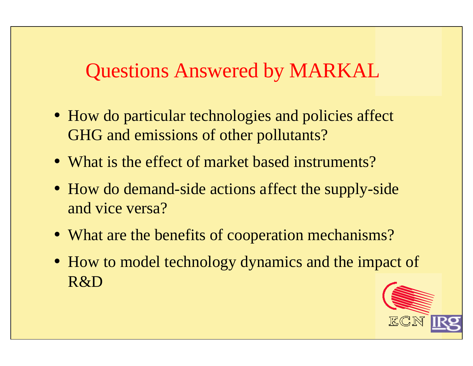# Questions Answered by MARKAL

- How do particular technologies and policies affect GHG and emissions of other pollutants?
- What is the effect of market based instruments?
- How do demand-side actions affect the supply-side and vice versa?
- What are the benefits of cooperation mechanisms?
- How to model technology dynamics and the impact of R&D

![](_page_11_Picture_6.jpeg)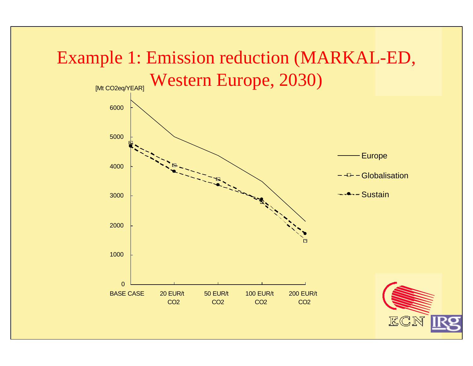![](_page_12_Figure_0.jpeg)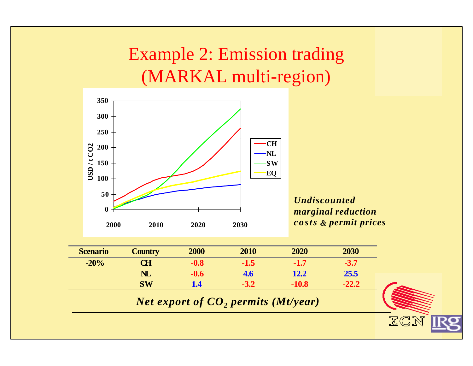Example 2: Emission trading (MARKAL multi-region)

![](_page_13_Figure_1.jpeg)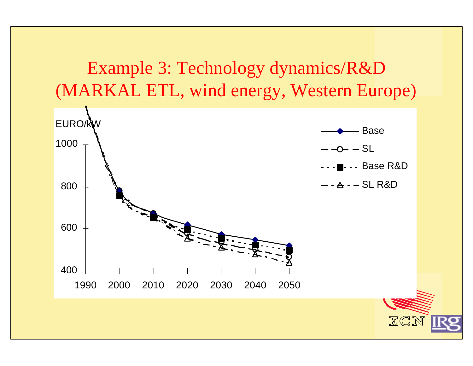![](_page_14_Figure_0.jpeg)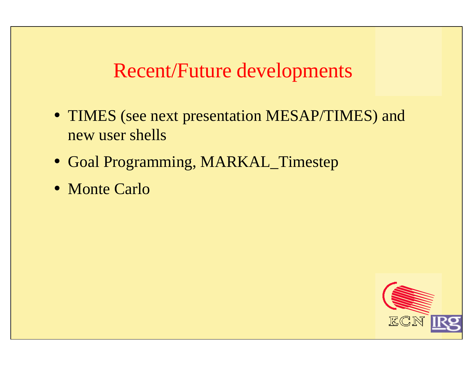## Recent/Future developments

- TIMES (see next presentation MESAP/TIMES) and new user shells
- Goal Programming, MARKAL\_Timestep
- Monte Carlo

![](_page_15_Picture_4.jpeg)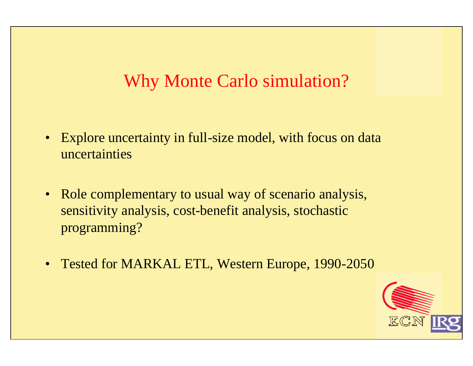#### Why Monte Carlo simulation?

- Explore uncertainty in full-size model, with focus on data uncertainties
- Role complementary to usual way of scenario analysis, sensitivity analysis, cost-benefit analysis, stochastic programming?
- Tested for MARKAL ETL, Western Europe, 1990-2050

![](_page_16_Picture_4.jpeg)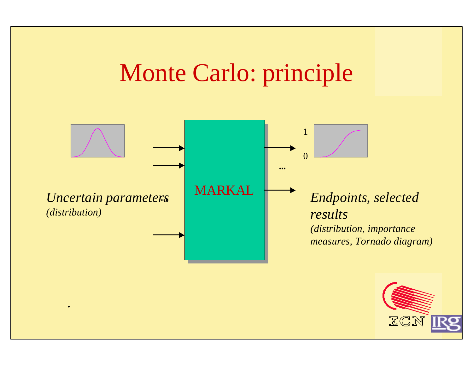# Monte Carlo: principle

![](_page_17_Figure_1.jpeg)

.

![](_page_17_Picture_2.jpeg)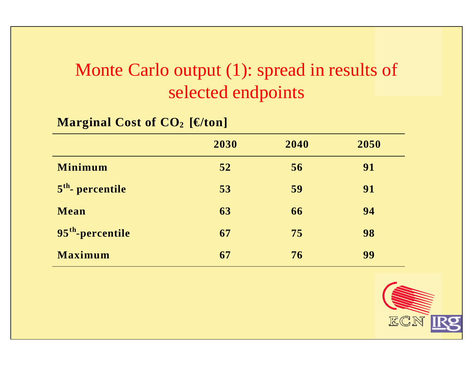# Monte Carlo output (1): spread in results of selected endpoints

#### **Marginal Cost of CO2 [€/ton]**

|                              | 2030 | 2040 | 2050 |
|------------------------------|------|------|------|
| <b>Minimum</b>               | 52   | 56   | 91   |
| $5th$ - percentile           | 53   | 59   | 91   |
| Mean                         | 63   | 66   | 94   |
| 95 <sup>th</sup> -percentile | 67   | 75   | 98   |
| <b>Maximum</b>               | 67   | 76   | 99   |

![](_page_18_Picture_3.jpeg)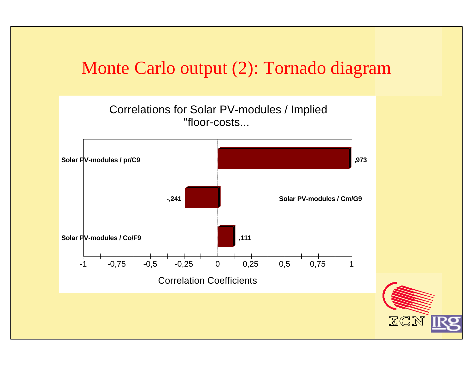#### Monte Carlo output (2): Tornado diagram

![](_page_19_Figure_1.jpeg)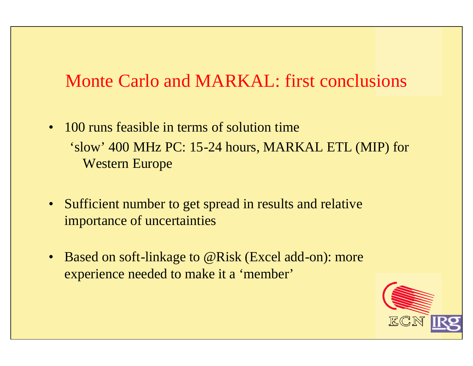#### Monte Carlo and MARKAL: first conclusions

- 100 runs feasible in terms of solution time 'slow' 400 MHz PC: 15-24 hours, MARKAL ETL (MIP) for Western Europe
- Sufficient number to get spread in results and relative importance of uncertainties
- Based on soft-linkage to @Risk (Excel add-on): more experience needed to make it a 'member'

![](_page_20_Picture_4.jpeg)